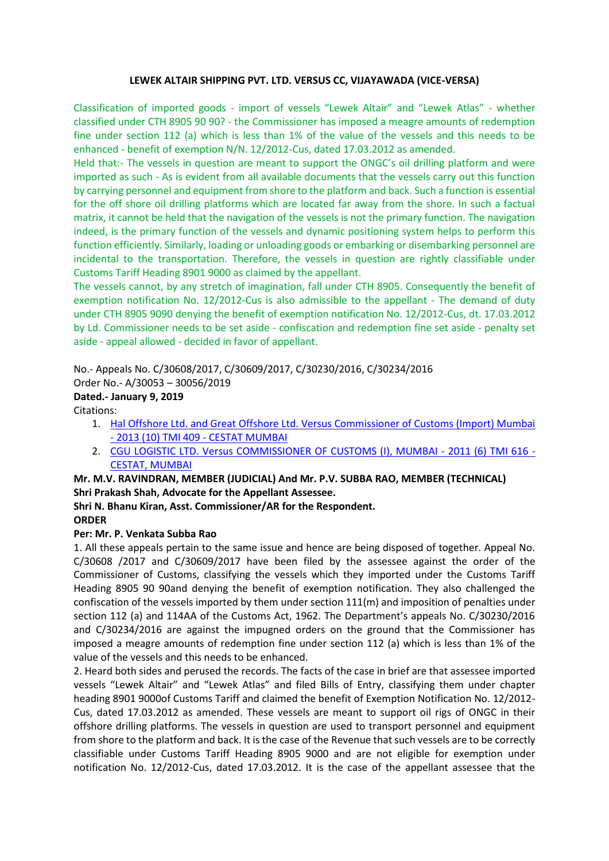### **LEWEK ALTAIR SHIPPING PVT. LTD. VERSUS CC, VIJAYAWADA (VICE-VERSA)**

Classification of imported goods - import of vessels "Lewek Altair" and "Lewek Atlas" - whether classified under CTH 8905 90 90? - the Commissioner has imposed a meagre amounts of redemption fine under section 112 (a) which is less than 1% of the value of the vessels and this needs to be enhanced - benefit of exemption N/N. 12/2012-Cus, dated 17.03.2012 as amended.

Held that:- The vessels in question are meant to support the ONGC's oil drilling platform and were imported as such - As is evident from all available documents that the vessels carry out this function by carrying personnel and equipment from shore to the platform and back. Such a function is essential for the off shore oil drilling platforms which are located far away from the shore. In such a factual matrix, it cannot be held that the navigation of the vessels is not the primary function. The navigation indeed, is the primary function of the vessels and dynamic positioning system helps to perform this function efficiently. Similarly, loading or unloading goods or embarking or disembarking personnel are incidental to the transportation. Therefore, the vessels in question are rightly classifiable under Customs Tariff Heading 8901 9000 as claimed by the appellant.

The vessels cannot, by any stretch of imagination, fall under CTH 8905. Consequently the benefit of exemption notification No. 12/2012-Cus is also admissible to the appellant - The demand of duty under CTH 8905 9090 denying the benefit of exemption notification No. 12/2012-Cus, dt. 17.03.2012 by Ld. Commissioner needs to be set aside - confiscation and redemption fine set aside - penalty set aside - appeal allowed - decided in favor of appellant.

# No.- Appeals No. C/30608/2017, C/30609/2017, C/30230/2016, C/30234/2016

Order No.- A/30053 – 30056/2019

# **Dated.- January 9, 2019**

Citations:

- 1. [Hal Offshore Ltd. and Great Offshore Ltd. Versus Commissioner of Customs \(Import\) Mumbai](https://www.taxmanagementindia.com/visitor/Detail_Case_Laws.asp?ID=237954)  - [2013 \(10\) TMI 409 -](https://www.taxmanagementindia.com/visitor/Detail_Case_Laws.asp?ID=237954) CESTAT MUMBAI
- 2. [CGU LOGISTIC LTD. Versus COMMISSIONER OF CUSTOMS \(I\), MUMBAI -](https://www.taxmanagementindia.com/visitor/Detail_Case_Laws.asp?ID=213075) 2011 (6) TMI 616 [CESTAT, MUMBAI](https://www.taxmanagementindia.com/visitor/Detail_Case_Laws.asp?ID=213075)

## **Mr. M.V. RAVINDRAN, MEMBER (JUDICIAL) And Mr. P.V. SUBBA RAO, MEMBER (TECHNICAL) Shri Prakash Shah, Advocate for the Appellant Assessee.**

#### **Shri N. Bhanu Kiran, Asst. Commissioner/AR for the Respondent. ORDER**

### **Per: Mr. P. Venkata Subba Rao**

1. All these appeals pertain to the same issue and hence are being disposed of together. Appeal No. C/30608 /2017 and C/30609/2017 have been filed by the assessee against the order of the Commissioner of Customs, classifying the vessels which they imported under the Customs Tariff Heading 8905 90 90and denying the benefit of exemption notification. They also challenged the confiscation of the vessels imported by them under section 111(m) and imposition of penalties under section 112 (a) and 114AA of the Customs Act, 1962. The Department's appeals No. C/30230/2016 and C/30234/2016 are against the impugned orders on the ground that the Commissioner has imposed a meagre amounts of redemption fine under section 112 (a) which is less than 1% of the value of the vessels and this needs to be enhanced.

2. Heard both sides and perused the records. The facts of the case in brief are that assessee imported vessels "Lewek Altair" and "Lewek Atlas" and filed Bills of Entry, classifying them under chapter heading 8901 9000of Customs Tariff and claimed the benefit of Exemption Notification No. 12/2012- Cus, dated 17.03.2012 as amended. These vessels are meant to support oil rigs of ONGC in their offshore drilling platforms. The vessels in question are used to transport personnel and equipment from shore to the platform and back. It is the case of the Revenue that such vessels are to be correctly classifiable under Customs Tariff Heading 8905 9000 and are not eligible for exemption under notification No. 12/2012-Cus, dated 17.03.2012. It is the case of the appellant assessee that the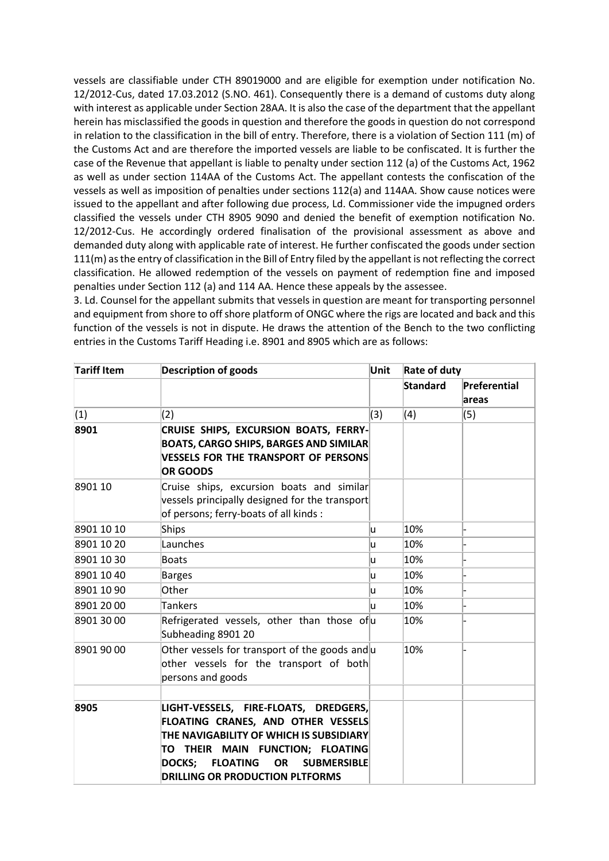vessels are classifiable under CTH 89019000 and are eligible for exemption under notification No. 12/2012-Cus, dated 17.03.2012 (S.NO. 461). Consequently there is a demand of customs duty along with interest as applicable under Section 28AA. It is also the case of the department that the appellant herein has misclassified the goods in question and therefore the goods in question do not correspond in relation to the classification in the bill of entry. Therefore, there is a violation of Section 111 (m) of the Customs Act and are therefore the imported vessels are liable to be confiscated. It is further the case of the Revenue that appellant is liable to penalty under section 112 (a) of the Customs Act, 1962 as well as under section 114AA of the Customs Act. The appellant contests the confiscation of the vessels as well as imposition of penalties under sections 112(a) and 114AA. Show cause notices were issued to the appellant and after following due process, Ld. Commissioner vide the impugned orders classified the vessels under CTH 8905 9090 and denied the benefit of exemption notification No. 12/2012-Cus. He accordingly ordered finalisation of the provisional assessment as above and demanded duty along with applicable rate of interest. He further confiscated the goods under section 111(m) as the entry of classification in the Bill of Entry filed by the appellant is not reflecting the correct classification. He allowed redemption of the vessels on payment of redemption fine and imposed penalties under Section 112 (a) and 114 AA. Hence these appeals by the assessee.

3. Ld. Counsel for the appellant submits that vessels in question are meant for transporting personnel and equipment from shore to off shore platform of ONGC where the rigs are located and back and this function of the vessels is not in dispute. He draws the attention of the Bench to the two conflicting entries in the Customs Tariff Heading i.e. 8901 and 8905 which are as follows:

| <b>Tariff Item</b> | <b>Description of goods</b>                                                                                                                                                                                                                                                 | Unit | Rate of duty |                       |
|--------------------|-----------------------------------------------------------------------------------------------------------------------------------------------------------------------------------------------------------------------------------------------------------------------------|------|--------------|-----------------------|
|                    |                                                                                                                                                                                                                                                                             |      | Standard     | Preferential<br>areas |
| (1)                | (2)                                                                                                                                                                                                                                                                         | (3)  | (4)          | (5)                   |
| 8901               | CRUISE SHIPS, EXCURSION BOATS, FERRY-<br><b>BOATS, CARGO SHIPS, BARGES AND SIMILAR</b><br><b>VESSELS FOR THE TRANSPORT OF PERSONS</b><br><b>OR GOODS</b>                                                                                                                    |      |              |                       |
| 8901 10            | Cruise ships, excursion boats and similar<br>vessels principally designed for the transport<br>of persons; ferry-boats of all kinds :                                                                                                                                       |      |              |                       |
| 8901 10 10         | Ships                                                                                                                                                                                                                                                                       | lu.  | 10%          |                       |
| 8901 10 20         | Launches                                                                                                                                                                                                                                                                    | lu.  | 10%          |                       |
| 8901 10 30         | <b>Boats</b>                                                                                                                                                                                                                                                                | lu.  | 10%          |                       |
| 8901 10 40         | <b>Barges</b>                                                                                                                                                                                                                                                               | lu.  | 10%          |                       |
| 8901 10 90         | Other                                                                                                                                                                                                                                                                       | lu.  | 10%          |                       |
| 8901 20 00         | <b>Tankers</b>                                                                                                                                                                                                                                                              | ū    | 10%          |                       |
| 8901 30 00         | Refrigerated vessels, other than those of $ u $<br>Subheading 8901 20                                                                                                                                                                                                       |      | 10%          |                       |
| 8901 90 00         | Other vessels for transport of the goods and $ u $<br>other vessels for the transport of both<br>persons and goods                                                                                                                                                          |      | 10%          |                       |
|                    |                                                                                                                                                                                                                                                                             |      |              |                       |
| 8905               | LIGHT-VESSELS, FIRE-FLOATS, DREDGERS,<br>FLOATING CRANES, AND OTHER VESSELS<br>THE NAVIGABILITY OF WHICH IS SUBSIDIARY<br>TO THEIR MAIN FUNCTION; FLOATING<br><b>SUBMERSIBLE</b><br><b>DOCKS:</b><br><b>FLOATING</b><br><b>OR</b><br><b>DRILLING OR PRODUCTION PLTFORMS</b> |      |              |                       |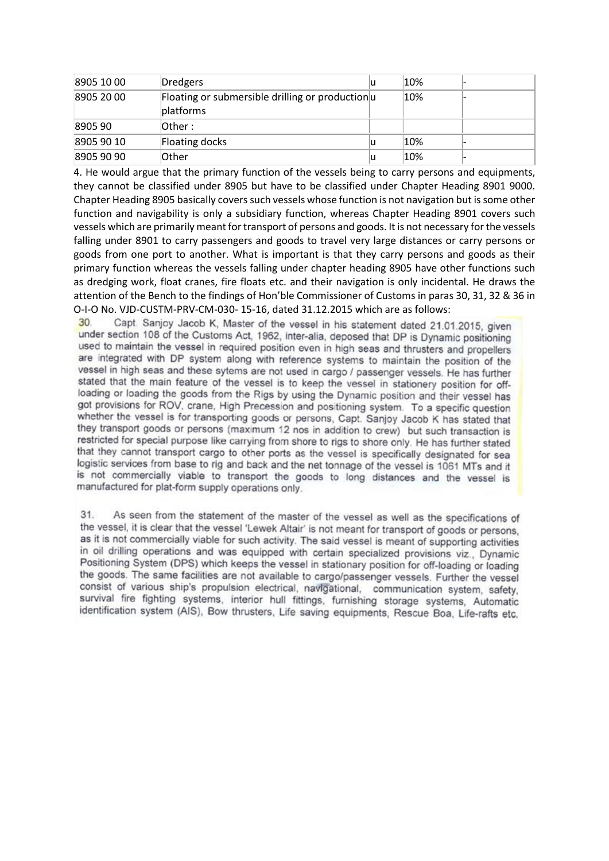| 8905 10 00 | Dredgers                                                      | 10% |  |
|------------|---------------------------------------------------------------|-----|--|
| 8905 20 00 | Floating or submersible drilling or productionul<br>platforms | 10% |  |
| 8905 90    | $I$ Other:                                                    |     |  |
| 8905 90 10 | Floating docks                                                | 10% |  |
| 8905 90 90 | Other                                                         | 10% |  |

4. He would argue that the primary function of the vessels being to carry persons and equipments, they cannot be classified under 8905 but have to be classified under Chapter Heading 8901 9000. Chapter Heading 8905 basically covers such vessels whose function is not navigation but is some other function and navigability is only a subsidiary function, whereas Chapter Heading 8901 covers such vessels which are primarily meant for transport of persons and goods. It is not necessary for the vessels falling under 8901 to carry passengers and goods to travel very large distances or carry persons or goods from one port to another. What is important is that they carry persons and goods as their primary function whereas the vessels falling under chapter heading 8905 have other functions such as dredging work, float cranes, fire floats etc. and their navigation is only incidental. He draws the attention of the Bench to the findings of Hon'ble Commissioner of Customs in paras 30, 31, 32 & 36 in O-I-O No. VJD-CUSTM-PRV-CM-030- 15-16, dated 31.12.2015 which are as follows:

Capt. Sanjoy Jacob K, Master of the vessel in his statement dated 21.01.2015, given  $30^{\circ}$ under section 108 of the Customs Act, 1962, inter-alia, deposed that DP is Dynamic positioning used to maintain the vessel in required position even in high seas and thrusters and propellers are integrated with DP system along with reference systems to maintain the position of the vessel in high seas and these sytems are not used in cargo / passenger vessels. He has further stated that the main feature of the vessel is to keep the vessel in stationery position for offloading or loading the goods from the Rigs by using the Dynamic position and their vessel has got provisions for ROV, crane, High Precession and positioning system. To a specific question whether the vessel is for transporting goods or persons, Capt. Sanjoy Jacob K has stated that they transport goods or persons (maximum 12 nos in addition to crew) but such transaction is restricted for special purpose like carrying from shore to rigs to shore only. He has further stated that they cannot transport cargo to other ports as the vessel is specifically designated for sea logistic services from base to rig and back and the net tonnage of the vessel is 1061 MTs and it is not commercially viable to transport the goods to long distances and the vessel is manufactured for plat-form supply operations only.

 $31$ As seen from the statement of the master of the vessel as well as the specifications of the vessel, it is clear that the vessel 'Lewek Altair' is not meant for transport of goods or persons, as it is not commercially viable for such activity. The said vessel is meant of supporting activities in oil drilling operations and was equipped with certain specialized provisions viz., Dynamic Positioning System (DPS) which keeps the vessel in stationary position for off-loading or loading the goods. The same facilities are not available to cargo/passenger vessels. Further the vessel consist of various ship's propulsion electrical, navigational, communication system, safety, survival fire fighting systems, interior hull fittings, furnishing storage systems, Automatic identification system (AIS), Bow thrusters, Life saving equipments, Rescue Boa, Life-rafts etc.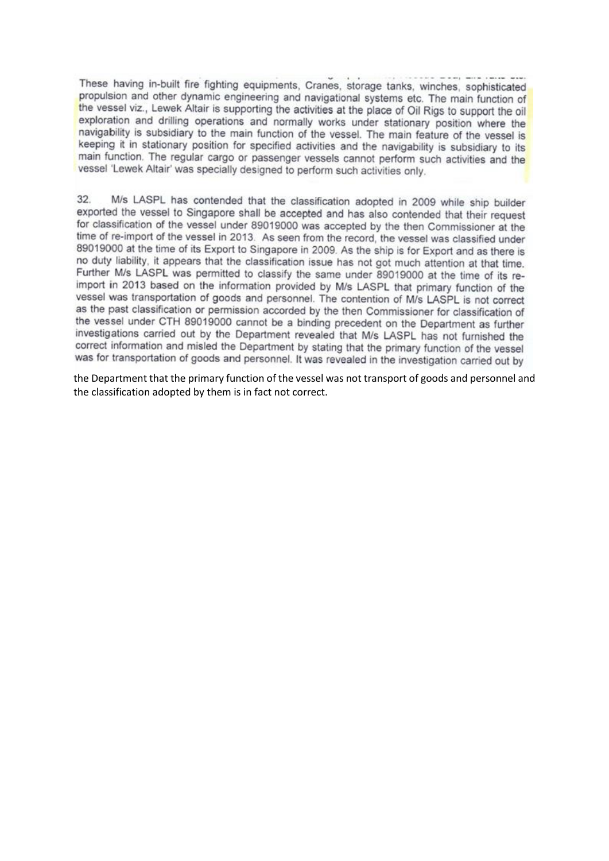These having in-built fire fighting equipments, Cranes, storage tanks, winches, sophisticated propulsion and other dynamic engineering and navigational systems etc. The main function of the vessel viz., Lewek Altair is supporting the activities at the place of Oil Rigs to support the oil exploration and drilling operations and normally works under stationary position where the navigability is subsidiary to the main function of the vessel. The main feature of the vessel is keeping it in stationary position for specified activities and the navigability is subsidiary to its main function. The regular cargo or passenger vessels cannot perform such activities and the vessel 'Lewek Altair' was specially designed to perform such activities only.

32. M/s LASPL has contended that the classification adopted in 2009 while ship builder exported the vessel to Singapore shall be accepted and has also contended that their request for classification of the vessel under 89019000 was accepted by the then Commissioner at the time of re-import of the vessel in 2013. As seen from the record, the vessel was classified under 89019000 at the time of its Export to Singapore in 2009. As the ship is for Export and as there is no duty liability, it appears that the classification issue has not got much attention at that time. Further M/s LASPL was permitted to classify the same under 89019000 at the time of its reimport in 2013 based on the information provided by M/s LASPL that primary function of the vessel was transportation of goods and personnel. The contention of M/s LASPL is not correct as the past classification or permission accorded by the then Commissioner for classification of the vessel under CTH 89019000 cannot be a binding precedent on the Department as further investigations carried out by the Department revealed that M/s LASPL has not furnished the correct information and misled the Department by stating that the primary function of the vessel was for transportation of goods and personnel. It was revealed in the investigation carried out by

the Department that the primary function of the vessel was not transport of goods and personnel and the classification adopted by them is in fact not correct.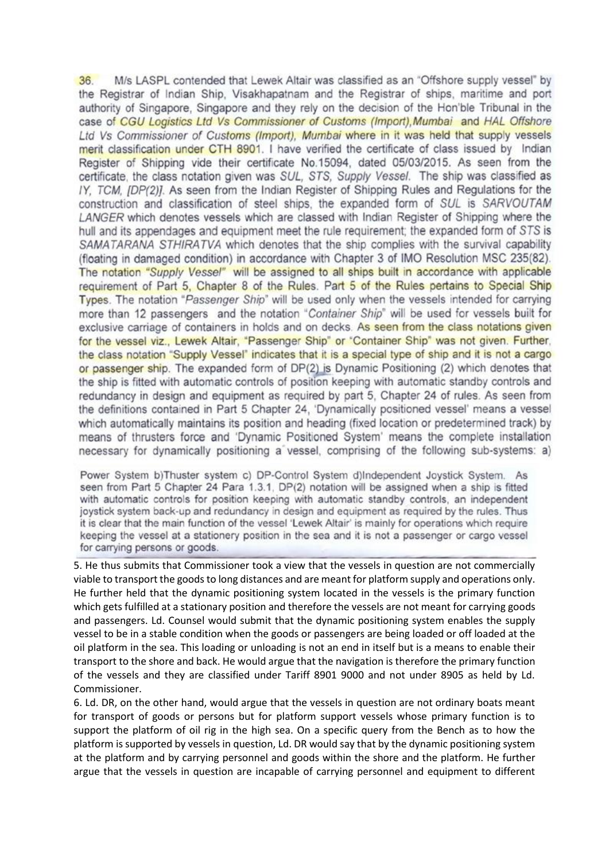$36.$ M/s LASPL contended that Lewek Altair was classified as an "Offshore supply vessel" by the Registrar of Indian Ship, Visakhapatnam and the Registrar of ships, maritime and port authority of Singapore. Singapore and they rely on the decision of the Hon'ble Tribunal in the case of CGU Logistics Ltd Vs Commissioner of Customs (Import), Mumbai and HAL Offshore Ltd Vs Commissioner of Customs (Import), Mumbai where in it was held that supply vessels merit classification under CTH 8901. I have verified the certificate of class issued by Indian Register of Shipping vide their certificate No.15094, dated 05/03/2015. As seen from the certificate, the class notation given was SUL, STS, Supply Vessel. The ship was classified as IY, TCM, [DP(2)]. As seen from the Indian Register of Shipping Rules and Regulations for the construction and classification of steel ships, the expanded form of SUL is SARVOUTAM LANGER which denotes vessels which are classed with Indian Register of Shipping where the hull and its appendages and equipment meet the rule requirement; the expanded form of STS is SAMATARANA STHIRATVA which denotes that the ship complies with the survival capability (floating in damaged condition) in accordance with Chapter 3 of IMO Resolution MSC 235(82). The notation "Supply Vessel" will be assigned to all ships built in accordance with applicable requirement of Part 5. Chapter 8 of the Rules. Part 5 of the Rules pertains to Special Ship Types. The notation "Passenger Ship" will be used only when the vessels intended for carrying more than 12 passengers and the notation "Container Ship" will be used for vessels built for exclusive carriage of containers in holds and on decks. As seen from the class notations given for the vessel viz., Lewek Altair, "Passenger Ship" or "Container Ship" was not given. Further, the class notation "Supply Vessel" indicates that it is a special type of ship and it is not a cargo or passenger ship. The expanded form of DP(2) is Dynamic Positioning (2) which denotes that the ship is fitted with automatic controls of position keeping with automatic standby controls and redundancy in design and equipment as required by part 5. Chapter 24 of rules. As seen from the definitions contained in Part 5 Chapter 24, 'Dynamically positioned vessel' means a vessel which automatically maintains its position and heading (fixed location or predetermined track) by means of thrusters force and 'Dynamic Positioned System' means the complete installation necessary for dynamically positioning a vessel, comprising of the following sub-systems: a)

Power System b)Thuster system c) DP-Control System d)Independent Joystick System. As seen from Part 5 Chapter 24 Para 1.3.1, DP(2) notation will be assigned when a ship is fitted with automatic controls for position keeping with automatic standby controls, an independent joystick system back-up and redundancy in design and equipment as required by the rules. Thus it is clear that the main function of the vessel 'Lewek Altair' is mainly for operations which require keeping the vessel at a stationery position in the sea and it is not a passenger or cargo vessel for carrying persons or goods.

5. He thus submits that Commissioner took a view that the vessels in question are not commercially viable to transport the goods to long distances and are meant for platform supply and operations only. He further held that the dynamic positioning system located in the vessels is the primary function which gets fulfilled at a stationary position and therefore the vessels are not meant for carrying goods and passengers. Ld. Counsel would submit that the dynamic positioning system enables the supply vessel to be in a stable condition when the goods or passengers are being loaded or off loaded at the oil platform in the sea. This loading or unloading is not an end in itself but is a means to enable their transport to the shore and back. He would argue that the navigation is therefore the primary function of the vessels and they are classified under Tariff 8901 9000 and not under 8905 as held by Ld. Commissioner.

6. Ld. DR, on the other hand, would argue that the vessels in question are not ordinary boats meant for transport of goods or persons but for platform support vessels whose primary function is to support the platform of oil rig in the high sea. On a specific query from the Bench as to how the platform is supported by vessels in question, Ld. DR would say that by the dynamic positioning system at the platform and by carrying personnel and goods within the shore and the platform. He further argue that the vessels in question are incapable of carrying personnel and equipment to different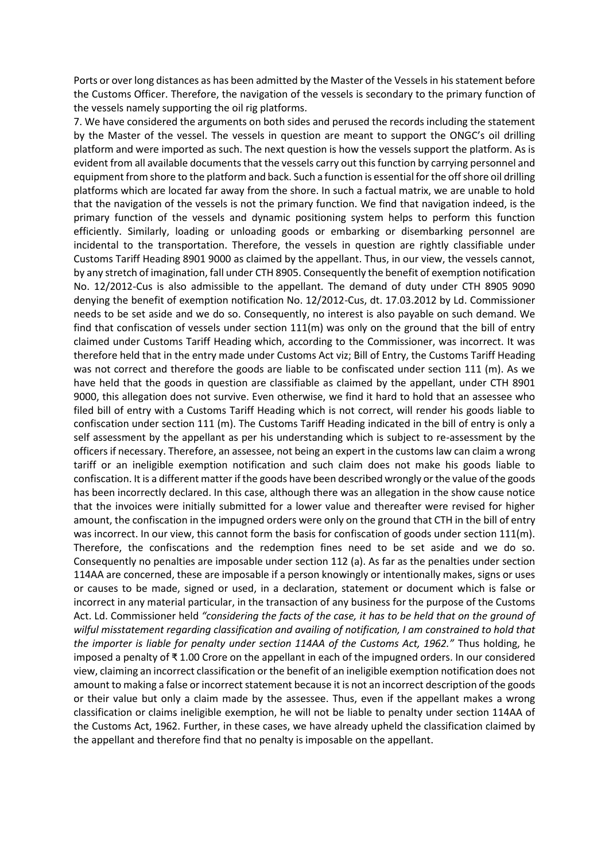Ports or over long distances as has been admitted by the Master of the Vessels in his statement before the Customs Officer. Therefore, the navigation of the vessels is secondary to the primary function of the vessels namely supporting the oil rig platforms.

7. We have considered the arguments on both sides and perused the records including the statement by the Master of the vessel. The vessels in question are meant to support the ONGC's oil drilling platform and were imported as such. The next question is how the vessels support the platform. As is evident from all available documents that the vessels carry out this function by carrying personnel and equipment from shore to the platform and back. Such a function is essential for the off shore oil drilling platforms which are located far away from the shore. In such a factual matrix, we are unable to hold that the navigation of the vessels is not the primary function. We find that navigation indeed, is the primary function of the vessels and dynamic positioning system helps to perform this function efficiently. Similarly, loading or unloading goods or embarking or disembarking personnel are incidental to the transportation. Therefore, the vessels in question are rightly classifiable under Customs Tariff Heading 8901 9000 as claimed by the appellant. Thus, in our view, the vessels cannot, by any stretch of imagination, fall under CTH 8905. Consequently the benefit of exemption notification No. 12/2012-Cus is also admissible to the appellant. The demand of duty under CTH 8905 9090 denying the benefit of exemption notification No. 12/2012-Cus, dt. 17.03.2012 by Ld. Commissioner needs to be set aside and we do so. Consequently, no interest is also payable on such demand. We find that confiscation of vessels under section 111(m) was only on the ground that the bill of entry claimed under Customs Tariff Heading which, according to the Commissioner, was incorrect. It was therefore held that in the entry made under Customs Act viz; Bill of Entry, the Customs Tariff Heading was not correct and therefore the goods are liable to be confiscated under section 111 (m). As we have held that the goods in question are classifiable as claimed by the appellant, under CTH 8901 9000, this allegation does not survive. Even otherwise, we find it hard to hold that an assessee who filed bill of entry with a Customs Tariff Heading which is not correct, will render his goods liable to confiscation under section 111 (m). The Customs Tariff Heading indicated in the bill of entry is only a self assessment by the appellant as per his understanding which is subject to re-assessment by the officers if necessary. Therefore, an assessee, not being an expert in the customs law can claim a wrong tariff or an ineligible exemption notification and such claim does not make his goods liable to confiscation. It is a different matter if the goods have been described wrongly or the value of the goods has been incorrectly declared. In this case, although there was an allegation in the show cause notice that the invoices were initially submitted for a lower value and thereafter were revised for higher amount, the confiscation in the impugned orders were only on the ground that CTH in the bill of entry was incorrect. In our view, this cannot form the basis for confiscation of goods under section 111(m). Therefore, the confiscations and the redemption fines need to be set aside and we do so. Consequently no penalties are imposable under section 112 (a). As far as the penalties under section 114AA are concerned, these are imposable if a person knowingly or intentionally makes, signs or uses or causes to be made, signed or used, in a declaration, statement or document which is false or incorrect in any material particular, in the transaction of any business for the purpose of the Customs Act. Ld. Commissioner held *"considering the facts of the case, it has to be held that on the ground of wilful misstatement regarding classification and availing of notification, I am constrained to hold that the importer is liable for penalty under section 114AA of the Customs Act, 1962."* Thus holding, he imposed a penalty of ₹ 1.00 Crore on the appellant in each of the impugned orders. In our considered view, claiming an incorrect classification or the benefit of an ineligible exemption notification does not amount to making a false or incorrect statement because it is not an incorrect description of the goods or their value but only a claim made by the assessee. Thus, even if the appellant makes a wrong classification or claims ineligible exemption, he will not be liable to penalty under section 114AA of the Customs Act, 1962. Further, in these cases, we have already upheld the classification claimed by the appellant and therefore find that no penalty is imposable on the appellant.